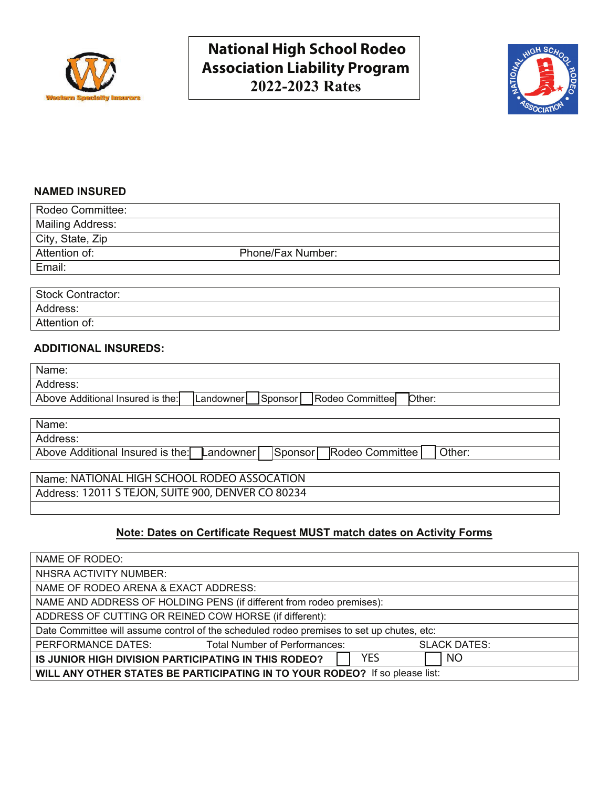



## **NAMED INSURED**

| Rodeo Committee:        |                   |  |
|-------------------------|-------------------|--|
| <b>Mailing Address:</b> |                   |  |
| City, State, Zip        |                   |  |
| Attention of:           | Phone/Fax Number: |  |
| Email:                  |                   |  |
|                         |                   |  |

| <b>Stock Contractor:</b> |  |
|--------------------------|--|
| Address:                 |  |
| Attention of:            |  |

## **ADDITIONAL INSUREDS:**

| Address:<br>Other:<br>Sponsor<br>Rodeo Committee<br>Landowner | Name:                            |  |  |
|---------------------------------------------------------------|----------------------------------|--|--|
|                                                               |                                  |  |  |
|                                                               | Above Additional Insured is the: |  |  |

| Address: | Name:                                                                    |        |
|----------|--------------------------------------------------------------------------|--------|
|          |                                                                          |        |
|          | Above Additional Insured is the: Landowner<br>Rodeo Committee<br>Sponsor | Other: |

Name: NATIONAL HIGH SCHOOL RODEO ASSOCATION Address: 12011 S TEJON, SUITE 900, DENVER CO 80234

# **Note: Dates on Certificate Request MUST match dates on Activity Forms**

| NAME OF RODEO:                                                                            |                                                                      |                     |  |
|-------------------------------------------------------------------------------------------|----------------------------------------------------------------------|---------------------|--|
| NHSRA ACTIVITY NUMBER:                                                                    |                                                                      |                     |  |
| NAME OF RODEO ARENA & EXACT ADDRESS:                                                      |                                                                      |                     |  |
|                                                                                           | NAME AND ADDRESS OF HOLDING PENS (if different from rodeo premises): |                     |  |
| ADDRESS OF CUTTING OR REINED COW HORSE (if different):                                    |                                                                      |                     |  |
| Date Committee will assume control of the scheduled rodeo premises to set up chutes, etc: |                                                                      |                     |  |
| PERFORMANCE DATES:                                                                        | Total Number of Performances:                                        | <b>SLACK DATES:</b> |  |
| <b>YES</b><br>NO<br>IS JUNIOR HIGH DIVISION PARTICIPATING IN THIS RODEO?                  |                                                                      |                     |  |
| WILL ANY OTHER STATES BE PARTICIPATING IN TO YOUR RODEO? If so please list:               |                                                                      |                     |  |